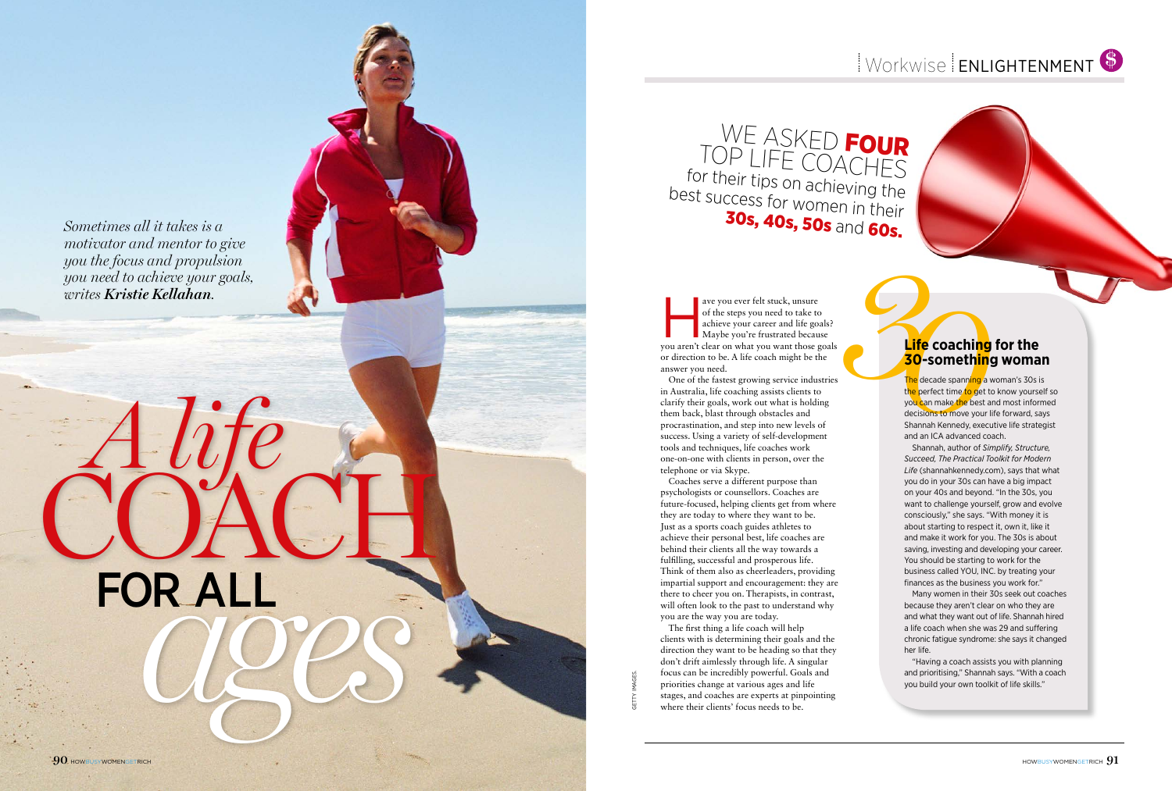Picture credits to go here please

getty images. **GETTY** 

ave you ever felt stuck, unsure<br>
of the steps you need to take to<br>
achieve your career and life goals?<br>
Maybe you're frustrated because<br>
you aren't clear on what you want those goals of the steps you need to take to achieve your career and life goals? Maybe you're frustrated because or direction to be. A life coach might be the answer you need.

One of the fastest growing service industries in Australia, life coaching assists clients to clarify their goals, work out what is holding them back, blast through obstacles and procrastination, and step into new levels of success. Using a variety of self-development tools and techniques, life coaches work one-on-one with clients in person, over the telephone or via Skype.

WE ASKED FOUR<br>TOP LIFE COACHES for their tips on achieving the best success for women in their 30s, 40s, 50s and 60s.

Coaches serve a different purpose than psychologists or counsellors. Coaches are future-focused, helping clients get from where they are today to where they want to be. Just as a sports coach guides athletes to achieve their personal best, life coaches are behind their clients all the way towards a fulfilling, successful and prosperous life. Think of them also as cheerleaders, providing impartial support and encouragement: they are there to cheer you on. Therapists, in contrast, will often look to the past to understand why you are the way you are today.

**SO-Something<br>
30-Something**<br>
The decade spanning a v<br>
the perfect time to get to<br>
you can make the best a<br>
decisions to move your li<br>
Shannah Kennedy, execu<br>
and an ICA advanced coa T<mark>he</mark> decade spanni<mark>ng a</mark> woman's 30s is the perfect time to get to know yourself so you can make the best and most informed decisions to move your life forward, says<br>Shannah Kennedy, executive life strategist and an I C A advanced coach.

The first thing a life coach will help clients with is determining their goals and the direction they want to be heading so that they don't drift aimlessly through life. A singular focus can be incredibly powerful. Goals and priorities change at various ages and life stages, and coaches are experts at pinpointing where their clients' focus needs to be.

# COACH *ages* for all

*Sometimes all it takes is a motivator and mentor to give you the focus and propulsion you need to achieve your goals, writes Kristie Kellahan .*

#### **Life coaching for the 30-something woman**

Shannah, author of *Simplify, Structure, Succeed, The Practical Toolkit for Modern Life* (shannahkennedy.com), says that what you do in your 30s can have a big impact on your 40s and beyond. " In the 30s, you want to challenge yourself, grow and evolve consciously," she says. "With money it is about starting to respect it, own it, like it and make it work for you. The 30s is about saving, investing and developing your career. You should be starting to work for the business called YOU, INC. by treating your finances as the business you work for."

Many women in their 30s seek out coaches because they aren't clear on who they are and what they want out of life. Shannah hired a life coach when she was 29 and suffering chronic fatigue syndrome: she says it changed her life.

"Having a coach assists you with planning and prioritising," Shannah says. "With a coach you build your own toolkit of life skills."

*A life*

### Workwise ENLIGHTENMENT